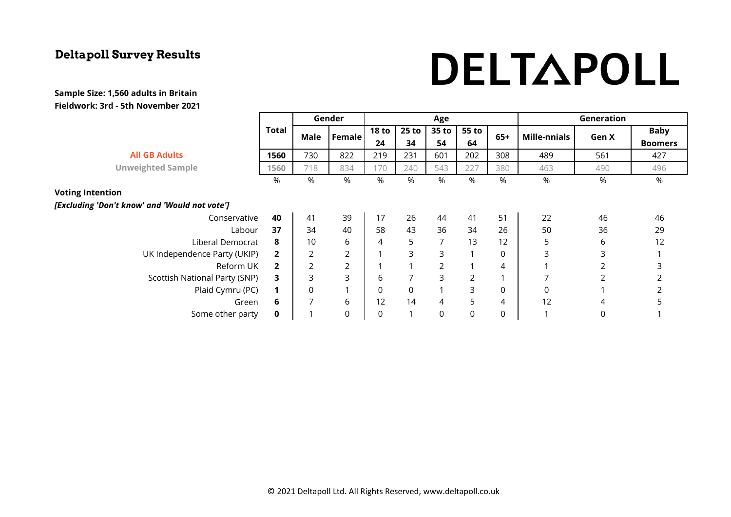# DELTAPOLL

|                                               |              |                | Gender           |                         | Age            |                |       |       |                     | Generation |                |  |
|-----------------------------------------------|--------------|----------------|------------------|-------------------------|----------------|----------------|-------|-------|---------------------|------------|----------------|--|
|                                               | <b>Total</b> | Male           | <b>Female</b>    | 18 <sub>to</sub>        | 25 to          | 35 to          | 55 to | $65+$ | <b>Mille-nnials</b> | Gen X      | <b>Baby</b>    |  |
|                                               |              |                |                  | 24                      | 34             | 54             | 64    |       |                     |            | <b>Boomers</b> |  |
| <b>All GB Adults</b>                          | 1560         | 730            | 822              | 219                     | 231            | 601            | 202   | 308   | 489                 | 561        | 427            |  |
| <b>Unweighted Sample</b>                      | 1560         | 718            | 834              | 170                     | 240            | 543            | 227   | 380   | 463                 | 490        | 496            |  |
|                                               | %            | %              | %                | $\%$                    | %              | %              | %     | %     | %                   | $\%$       | $\%$           |  |
| <b>Voting Intention</b>                       |              |                |                  |                         |                |                |       |       |                     |            |                |  |
| [Excluding 'Don't know' and 'Would not vote'] |              |                |                  |                         |                |                |       |       |                     |            |                |  |
| Conservative                                  | 40           | 41             | 39               | 17                      | 26             | 44             | 41    | 51    | 22                  | 46         | 46             |  |
| Labour                                        | 37           | 34             | 40               | 58                      | 43             | 36             | 34    | 26    | 50                  | 36         | 29             |  |
| Liberal Democrat                              | 8            | 10             | 6                | 4                       | 5              | $\overline{7}$ | 13    | 12    | 5                   | 6          | 12             |  |
| UK Independence Party (UKIP)                  | $\mathbf{2}$ | $\overline{2}$ | $\overline{2}$   | $\overline{\mathbf{A}}$ | 3              | 3              | 1     | 0     | 3                   | 3          |                |  |
| Reform UK                                     | $\mathbf{2}$ | $\overline{2}$ | $\overline{2}$   |                         |                | $\overline{2}$ |       | 4     |                     |            | 3              |  |
| Scottish National Party (SNP)                 | 3            | 3              | 3                | 6                       | $\overline{7}$ | 3              | 2     |       | ⇁                   | 2          |                |  |
| Plaid Cymru (PC)                              | 1            | 0              | 1                | $\mathbf 0$             | $\mathsf 0$    | $\mathbf{1}$   | 3     | 0     | $\mathsf 0$         |            |                |  |
| Green                                         | 6            | 7              | 6                | 12                      | 14             | 4              | 5     | 4     | 12                  | 4          | 5              |  |
| Some other party                              | $\mathbf 0$  |                | $\boldsymbol{0}$ | $\mathsf 0$             | $\mathbf{1}$   | 0              | 0     | 0     |                     | 0          |                |  |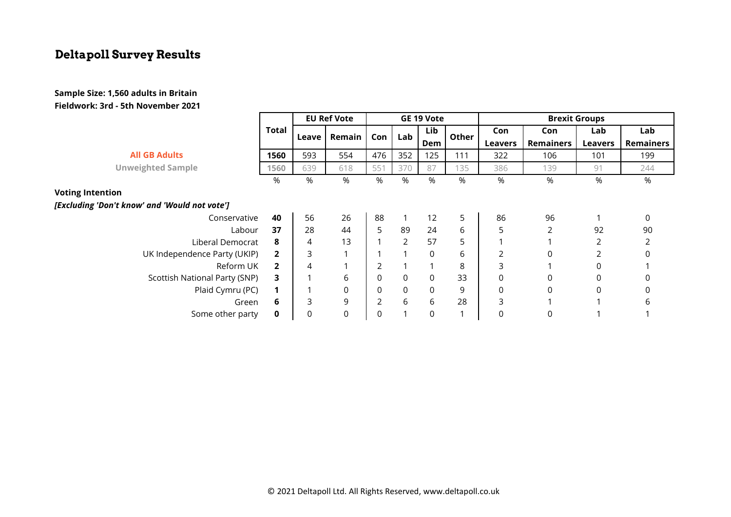|                                               |              | <b>EU Ref Vote</b> |          | GE 19 Vote     |             |             | <b>Brexit Groups</b> |                |             |                |                  |
|-----------------------------------------------|--------------|--------------------|----------|----------------|-------------|-------------|----------------------|----------------|-------------|----------------|------------------|
|                                               | Total        |                    | Remain   | Con            | Lab         | Lib         | Other                | Con            | Con         | Lab            | Lab              |
|                                               |              | Leave              |          |                |             | Dem         |                      | <b>Leavers</b> | Remainers   | <b>Leavers</b> | <b>Remainers</b> |
| <b>All GB Adults</b>                          | 1560         | 593                | 554      | 476            | 352         | 125         | 111                  | 322            | 106         | 101            | 199              |
| <b>Unweighted Sample</b>                      | 1560         | 639                | 618      | 551            | 370         | 87          | 135                  | 386            | 139         | 91             | 244              |
|                                               | $\%$         | %                  | %        | %              | %           | %           | %                    | %              | %           | %              | %                |
| <b>Voting Intention</b>                       |              |                    |          |                |             |             |                      |                |             |                |                  |
| [Excluding 'Don't know' and 'Would not vote'] |              |                    |          |                |             |             |                      |                |             |                |                  |
| Conservative                                  | 40           | 56                 | 26       | 88             |             | 12          | 5                    | 86             | 96          |                | 0                |
| Labour                                        | 37           | 28                 | 44       | 5              | 89          | 24          | 6                    | 5              | 2           | 92             | 90               |
| Liberal Democrat                              | 8            | 4                  | 13       |                | 2           | 57          | 5                    |                |             | 2              |                  |
| UK Independence Party (UKIP)                  | $\mathbf{2}$ | 3                  |          |                | 1           | $\Omega$    | 6                    | 2              | $\Omega$    | 2              | 0                |
| Reform UK                                     | $\mathbf{2}$ | 4                  |          | 2              |             |             | 8                    | 3              |             | 0              |                  |
| Scottish National Party (SNP)                 | 3.           |                    | 6        | 0              | $\mathsf 0$ | $\mathbf 0$ | 33                   | 0              | 0           | 0              |                  |
| Plaid Cymru (PC)                              |              |                    | 0        | 0              | $\mathsf 0$ | 0           | 9                    | 0              | $\mathbf 0$ | $\mathbf 0$    |                  |
| Green                                         | 6            | 3                  | 9        | $\overline{2}$ | 6           | 6           | 28                   | 3              |             |                | h                |
| Some other party                              | 0            | 0                  | $\Omega$ | 0              |             | 0           |                      | 0              |             |                |                  |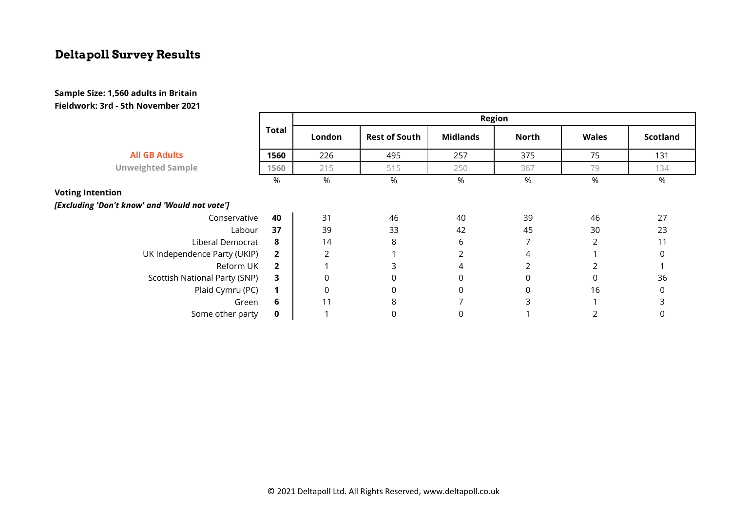|                                               | <b>Total</b>   | <b>Region</b> |                      |                 |       |              |                 |  |  |  |
|-----------------------------------------------|----------------|---------------|----------------------|-----------------|-------|--------------|-----------------|--|--|--|
|                                               |                | London        | <b>Rest of South</b> | <b>Midlands</b> | North | <b>Wales</b> | <b>Scotland</b> |  |  |  |
| <b>All GB Adults</b>                          | 1560           | 226           | 495                  | 257             | 375   | 75           | 131             |  |  |  |
| <b>Unweighted Sample</b>                      | 1560           | 215           | 515                  | 250             | 367   | 79           | 134             |  |  |  |
|                                               | %              | %             | %                    | %               | %     | %            | %               |  |  |  |
| <b>Voting Intention</b>                       |                |               |                      |                 |       |              |                 |  |  |  |
| [Excluding 'Don't know' and 'Would not vote'] |                |               |                      |                 |       |              |                 |  |  |  |
| Conservative                                  | 40             | 31            | 46                   | 40              | 39    | 46           | 27              |  |  |  |
| Labour                                        | 37             | 39            | 33                   | 42              | 45    | 30           | 23              |  |  |  |
| Liberal Democrat                              | 8              | 14            | 8                    | 6               |       | 2            | 11              |  |  |  |
| UK Independence Party (UKIP)                  | $\overline{2}$ | 2             |                      |                 | 4     |              | $\Omega$        |  |  |  |
| Reform UK                                     | $\overline{2}$ |               | 3                    | 4               | 2     |              |                 |  |  |  |
| Scottish National Party (SNP)                 | 3              | 0             | 0                    | 0               | 0     |              | 36              |  |  |  |
| Plaid Cymru (PC)                              | 1              | $\mathbf 0$   | $\mathbf 0$          | 0               | 0     | 16           | 0               |  |  |  |
| Green                                         | 6              | 11            | 8                    |                 | 3     |              | 3               |  |  |  |
| Some other party                              | $\mathbf 0$    |               | $\mathbf 0$          | 0               |       |              | 0               |  |  |  |